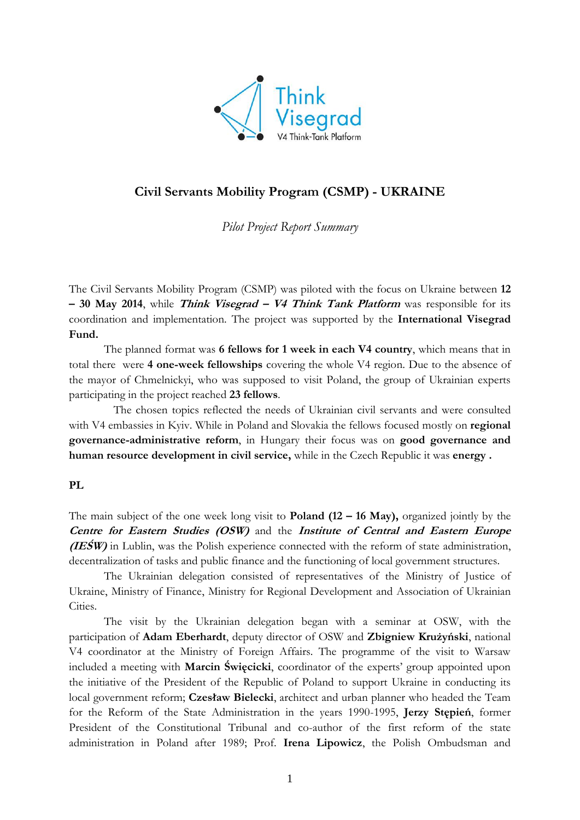

# **Civil Servants Mobility Program (CSMP) - UKRAINE**

*Pilot Project Report Summary*

The Civil Servants Mobility Program (CSMP) was piloted with the focus on Ukraine between **12 – 30 May 2014**, while **Think Visegrad – V4 Think Tank Platform** was responsible for its coordination and implementation. The project was supported by the **International Visegrad Fund.** 

The planned format was **6 fellows for 1 week in each V4 country**, which means that in total there were **4 one-week fellowships** covering the whole V4 region. Due to the absence of the mayor of Chmelnickyi, who was supposed to visit Poland, the group of Ukrainian experts participating in the project reached **23 fellows**.

The chosen topics reflected the needs of Ukrainian civil servants and were consulted with V4 embassies in Kyiv. While in Poland and Slovakia the fellows focused mostly on **regional governance-administrative reform**, in Hungary their focus was on **good governance and human resource development in civil service,** while in the Czech Republic it was **energy .** 

## **PL**

The main subject of the one week long visit to **Poland (12 – 16 May),** organized jointly by the **Centre for Eastern Studies (OSW)** and the **Institute of Central and Eastern Europe (IEŚW)** in Lublin, was the Polish experience connected with the reform of state administration, decentralization of tasks and public finance and the functioning of local government structures.

The Ukrainian delegation consisted of representatives of the Ministry of Justice of Ukraine, Ministry of Finance, Ministry for Regional Development and Association of Ukrainian Cities.

The visit by the Ukrainian delegation began with a seminar at OSW, with the participation of **Adam Eberhardt**, deputy director of OSW and **Zbigniew Krużyński**, national V4 coordinator at the Ministry of Foreign Affairs. The programme of the visit to Warsaw included a meeting with **Marcin Święcicki**, coordinator of the experts' group appointed upon the initiative of the President of the Republic of Poland to support Ukraine in conducting its local government reform; **Czesław Bielecki**, architect and urban planner who headed the Team for the Reform of the State Administration in the years 1990-1995, **Jerzy Stępień**, former President of the Constitutional Tribunal and co-author of the first reform of the state administration in Poland after 1989; Prof. **Irena Lipowicz**, the Polish Ombudsman and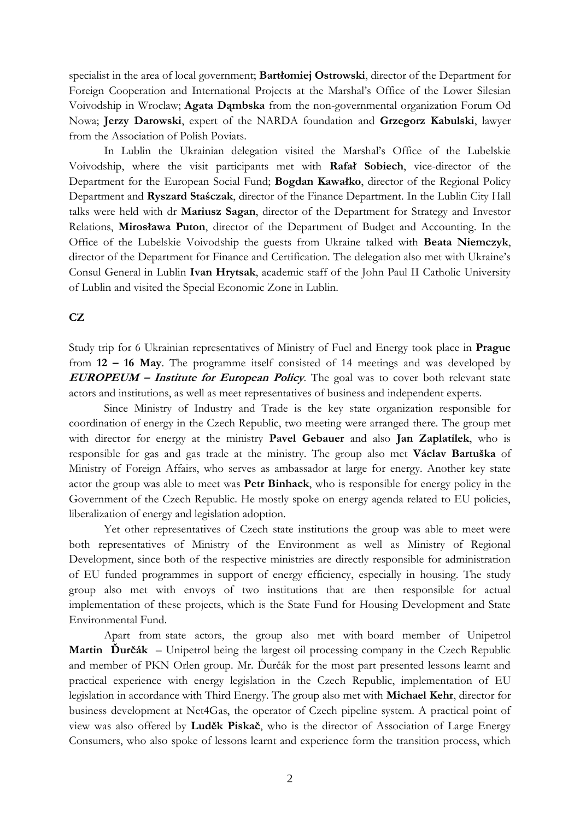specialist in the area of local government; **Bartłomiej Ostrowski**, director of the Department for Foreign Cooperation and International Projects at the Marshal's Office of the Lower Silesian Voivodship in Wroclaw; **Agata Dąmbska** from the non-governmental organization Forum Od Nowa; **Jerzy Darowski**, expert of the NARDA foundation and **Grzegorz Kabulski**, lawyer from the Association of Polish Poviats.

In Lublin the Ukrainian delegation visited the Marshal's Office of the Lubelskie Voivodship, where the visit participants met with **Rafał Sobiech**, vice-director of the Department for the European Social Fund; **Bogdan Kawałko**, director of the Regional Policy Department and **Ryszard Staśczak**, director of the Finance Department. In the Lublin City Hall talks were held with dr **Mariusz Sagan**, director of the Department for Strategy and Investor Relations, **Mirosława Puton**, director of the Department of Budget and Accounting. In the Office of the Lubelskie Voivodship the guests from Ukraine talked with **Beata Niemczyk**, director of the Department for Finance and Certification. The delegation also met with Ukraine's Consul General in Lublin **Ivan Hrytsak**, academic staff of the John Paul II Catholic University of Lublin and visited the Special Economic Zone in Lublin.

### **CZ**

Study trip for 6 Ukrainian representatives of Ministry of Fuel and Energy took place in **Prague**  from **12 – 16 May**. The programme itself consisted of 14 meetings and was developed by **EUROPEUM – Institute for European Policy**. The goal was to cover both relevant state actors and institutions, as well as meet representatives of business and independent experts.

Since Ministry of Industry and Trade is the key state organization responsible for coordination of energy in the Czech Republic, two meeting were arranged there. The group met with director for energy at the ministry **Pavel Gebauer** and also **Jan Zaplatílek**, who is responsible for gas and gas trade at the ministry. The group also met **Václav Bartuška** of Ministry of Foreign Affairs, who serves as ambassador at large for energy. Another key state actor the group was able to meet was **Petr Binhack**, who is responsible for energy policy in the Government of the Czech Republic. He mostly spoke on energy agenda related to EU policies, liberalization of energy and legislation adoption.

Yet other representatives of Czech state institutions the group was able to meet were both representatives of Ministry of the Environment as well as Ministry of Regional Development, since both of the respective ministries are directly responsible for administration of EU funded programmes in support of energy efficiency, especially in housing. The study group also met with envoys of two institutions that are then responsible for actual implementation of these projects, which is the State Fund for Housing Development and State Environmental Fund.

Apart from state actors, the group also met with board member of Unipetrol **Martin Ďurčák** – Unipetrol being the largest oil processing company in the Czech Republic and member of PKN Orlen group. Mr. Ďurčák for the most part presented lessons learnt and practical experience with energy legislation in the Czech Republic, implementation of EU legislation in accordance with Third Energy. The group also met with **Michael Kehr**, director for business development at Net4Gas, the operator of Czech pipeline system. A practical point of view was also offered by **Luděk Piskač**, who is the director of Association of Large Energy Consumers, who also spoke of lessons learnt and experience form the transition process, which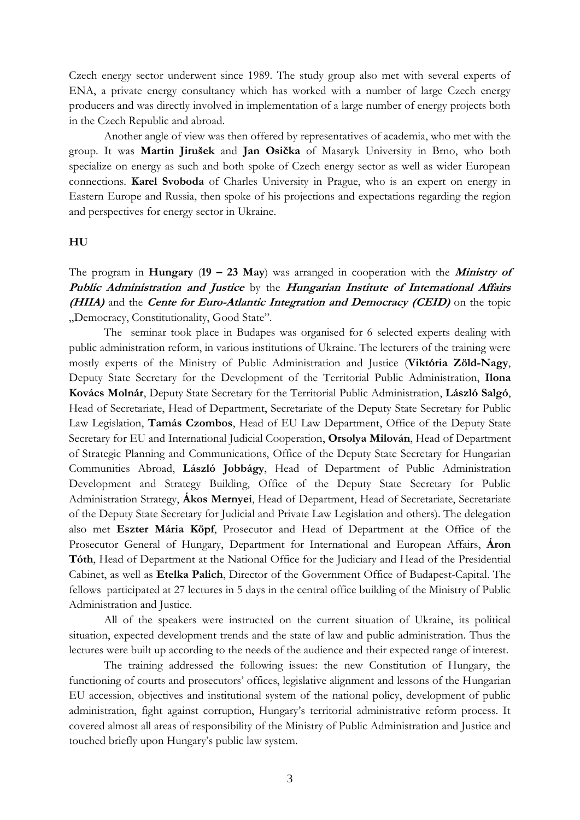Czech energy sector underwent since 1989. The study group also met with several experts of ENA, a private energy consultancy which has worked with a number of large Czech energy producers and was directly involved in implementation of a large number of energy projects both in the Czech Republic and abroad.

Another angle of view was then offered by representatives of academia, who met with the group. It was **Martin Jirušek** and **Jan Osička** of Masaryk University in Brno, who both specialize on energy as such and both spoke of Czech energy sector as well as wider European connections. **Karel Svoboda** of Charles University in Prague, who is an expert on energy in Eastern Europe and Russia, then spoke of his projections and expectations regarding the region and perspectives for energy sector in Ukraine.

### **HU**

The program in **Hungary** (**19 – 23 May**) was arranged in cooperation with the **Ministry of Public Administration and Justice** by the **Hungarian Institute of International Affairs (HIIA)** and the **Cente for Euro-Atlantic Integration and Democracy (CEID)** on the topic "Democracy, Constitutionality, Good State".

The seminar took place in Budapes was organised for 6 selected experts dealing with public administration reform, in various institutions of Ukraine. The lecturers of the training were mostly experts of the Ministry of Public Administration and Justice (**Viktória Zöld-Nagy**, Deputy State Secretary for the Development of the Territorial Public Administration, **Ilona Kovács Molnár**, Deputy State Secretary for the Territorial Public Administration, **László Salgó**, Head of Secretariate, Head of Department, Secretariate of the Deputy State Secretary for Public Law Legislation, **Tamás Czombos**, Head of EU Law Department, Office of the Deputy State Secretary for EU and International Judicial Cooperation, **Orsolya Milován**, Head of Department of Strategic Planning and Communications, Office of the Deputy State Secretary for Hungarian Communities Abroad, **László Jobbágy**, Head of Department of Public Administration Development and Strategy Building, Office of the Deputy State Secretary for Public Administration Strategy, **Ákos Mernyei**, Head of Department, Head of Secretariate, Secretariate of the Deputy State Secretary for Judicial and Private Law Legislation and others). The delegation also met **Eszter Mária Köpf**, Prosecutor and Head of Department at the Office of the Prosecutor General of Hungary, Department for International and European Affairs, **Áron Tóth**, Head of Department at the National Office for the Judiciary and Head of the Presidential Cabinet, as well as **Etelka Palich**, Director of the Government Office of Budapest-Capital. The fellows participated at 27 lectures in 5 days in the central office building of the Ministry of Public Administration and Justice.

All of the speakers were instructed on the current situation of Ukraine, its political situation, expected development trends and the state of law and public administration. Thus the lectures were built up according to the needs of the audience and their expected range of interest.

The training addressed the following issues: the new Constitution of Hungary, the functioning of courts and prosecutors' offices, legislative alignment and lessons of the Hungarian EU accession, objectives and institutional system of the national policy, development of public administration, fight against corruption, Hungary's territorial administrative reform process. It covered almost all areas of responsibility of the Ministry of Public Administration and Justice and touched briefly upon Hungary's public law system.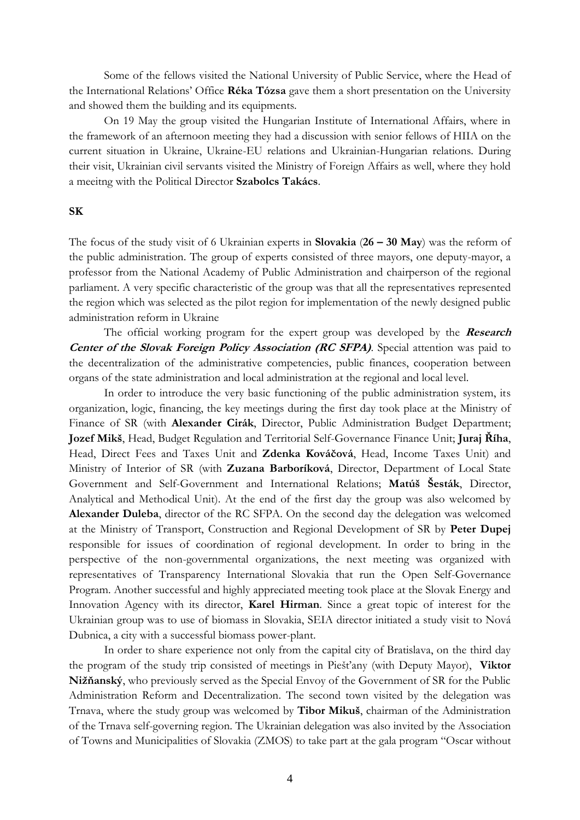Some of the fellows visited the National University of Public Service, where the Head of the International Relations' Office **Réka Tózsa** gave them a short presentation on the University and showed them the building and its equipments.

On 19 May the group visited the Hungarian Institute of International Affairs, where in the framework of an afternoon meeting they had a discussion with senior fellows of HIIA on the current situation in Ukraine, Ukraine-EU relations and Ukrainian-Hungarian relations. During their visit, Ukrainian civil servants visited the Ministry of Foreign Affairs as well, where they hold a meeitng with the Political Director **Szabolcs Takács**.

### **SK**

The focus of the study visit of 6 Ukrainian experts in **Slovakia** (**26 – 30 May**) was the reform of the public administration. The group of experts consisted of three mayors, one deputy-mayor, a professor from the National Academy of Public Administration and chairperson of the regional parliament. A very specific characteristic of the group was that all the representatives represented the region which was selected as the pilot region for implementation of the newly designed public administration reform in Ukraine

The official working program for the expert group was developed by the **Research Center of the Slovak Foreign Policy Association (RC SFPA).** Special attention was paid to the decentralization of the administrative competencies, public finances, cooperation between organs of the state administration and local administration at the regional and local level.

In order to introduce the very basic functioning of the public administration system, its organization, logic, financing, the key meetings during the first day took place at the Ministry of Finance of SR (with **Alexander Cirák**, Director, Public Administration Budget Department; **Jozef Mikš**, Head, Budget Regulation and Territorial Self-Governance Finance Unit; **Juraj Říha**, Head, Direct Fees and Taxes Unit and **Zdenka Kováčová**, Head, Income Taxes Unit) and Ministry of Interior of SR (with **Zuzana Barboríková**, Director, Department of Local State Government and Self-Government and International Relations; **Matúš Šesták**, Director, Analytical and Methodical Unit). At the end of the first day the group was also welcomed by **Alexander Duleba**, director of the RC SFPA. On the second day the delegation was welcomed at the Ministry of Transport, Construction and Regional Development of SR by **Peter Dupej**  responsible for issues of coordination of regional development. In order to bring in the perspective of the non-governmental organizations, the next meeting was organized with representatives of Transparency International Slovakia that run the Open Self-Governance Program. Another successful and highly appreciated meeting took place at the Slovak Energy and Innovation Agency with its director, **Karel Hirman**. Since a great topic of interest for the Ukrainian group was to use of biomass in Slovakia, SEIA director initiated a study visit to Nová Dubnica, a city with a successful biomass power-plant.

In order to share experience not only from the capital city of Bratislava, on the third day the program of the study trip consisted of meetings in Piešťany (with Deputy Mayor), **Viktor Nižňanský**, who previously served as the Special Envoy of the Government of SR for the Public Administration Reform and Decentralization. The second town visited by the delegation was Trnava, where the study group was welcomed by **Tibor Mikuš**, chairman of the Administration of the Trnava self-governing region. The Ukrainian delegation was also invited by the Association of Towns and Municipalities of Slovakia (ZMOS) to take part at the gala program "Oscar without